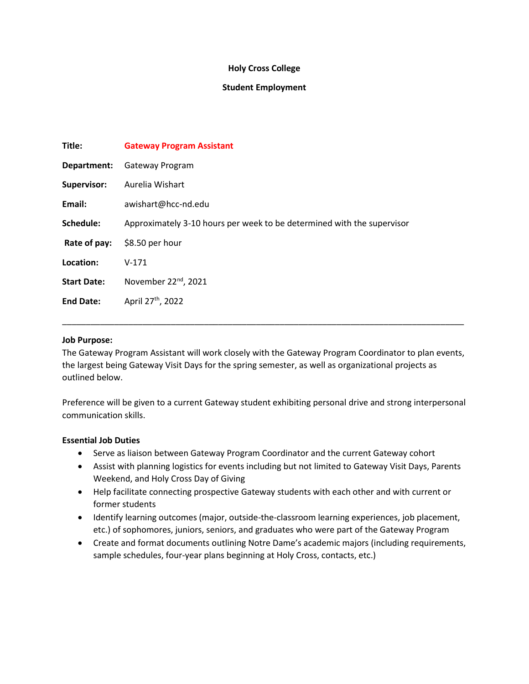## **Holy Cross College**

## **Student Employment**

| Title:             | <b>Gateway Program Assistant</b>                                       |
|--------------------|------------------------------------------------------------------------|
| Department:        | Gateway Program                                                        |
| Supervisor:        | Aurelia Wishart                                                        |
| Email:             | awishart@hcc-nd.edu                                                    |
| Schedule:          | Approximately 3-10 hours per week to be determined with the supervisor |
| Rate of pay:       | \$8.50 per hour                                                        |
| Location:          | $V-171$                                                                |
| <b>Start Date:</b> | November 22 <sup>nd</sup> , 2021                                       |
| <b>End Date:</b>   | April 27 <sup>th</sup> , 2022                                          |
|                    |                                                                        |

### **Job Purpose:**

The Gateway Program Assistant will work closely with the Gateway Program Coordinator to plan events, the largest being Gateway Visit Days for the spring semester, as well as organizational projects as outlined below.

\_\_\_\_\_\_\_\_\_\_\_\_\_\_\_\_\_\_\_\_\_\_\_\_\_\_\_\_\_\_\_\_\_\_\_\_\_\_\_\_\_\_\_\_\_\_\_\_\_\_\_\_\_\_\_\_\_\_\_\_\_\_\_\_\_\_\_\_\_\_\_\_\_\_\_\_\_\_\_\_\_\_\_\_\_

Preference will be given to a current Gateway student exhibiting personal drive and strong interpersonal communication skills.

#### **Essential Job Duties**

- Serve as liaison between Gateway Program Coordinator and the current Gateway cohort
- Assist with planning logistics for events including but not limited to Gateway Visit Days, Parents Weekend, and Holy Cross Day of Giving
- Help facilitate connecting prospective Gateway students with each other and with current or former students
- Identify learning outcomes (major, outside-the-classroom learning experiences, job placement, etc.) of sophomores, juniors, seniors, and graduates who were part of the Gateway Program
- Create and format documents outlining Notre Dame's academic majors (including requirements, sample schedules, four-year plans beginning at Holy Cross, contacts, etc.)